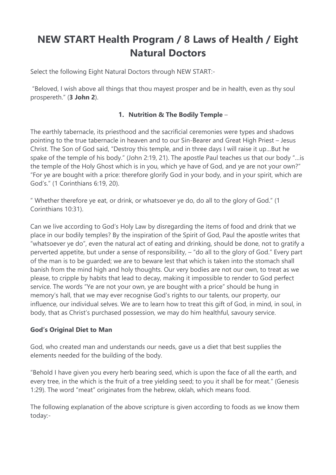# **NEW START Health Program / 8 Laws of Health / Eight Natural Doctors**

Select the following Eight Natural Doctors through NEW START:-

"Beloved, I wish above all things that thou mayest prosper and be in health, even as thy soul prospereth." (**3 John 2**).

# **1. Nutrition & The Bodily Temple** –

The earthly tabernacle, its priesthood and the sacrificial ceremonies were types and shadows pointing to the true tabernacle in heaven and to our Sin-Bearer and Great High Priest – Jesus Christ. The Son of God said, "Destroy this temple, and in three days I will raise it up…But he spake of the temple of his body." (John 2:19, 21). The apostle Paul teaches us that our body "…is the temple of the Holy Ghost which is in you, which ye have of God, and ye are not your own?" "For ye are bought with a price: therefore glorify God in your body, and in your spirit, which are God's." (1 Corinthians 6:19, 20).

" Whether therefore ye eat, or drink, or whatsoever ye do, do all to the glory of God." (1 Corinthians 10:31).

Can we live according to God's Holy Law by disregarding the items of food and drink that we place in our bodily temples? By the inspiration of the Spirit of God, Paul the apostle writes that "whatsoever ye do", even the natural act of eating and drinking, should be done, not to gratify a perverted appetite, but under a sense of responsibility, – "do all to the glory of God." Every part of the man is to be guarded; we are to beware lest that which is taken into the stomach shall banish from the mind high and holy thoughts. Our very bodies are not our own, to treat as we please, to cripple by habits that lead to decay, making it impossible to render to God perfect service. The words "Ye are not your own, ye are bought with a price" should be hung in memory's hall, that we may ever recognise God's rights to our talents, our property, our influence, our individual selves. We are to learn how to treat this gift of God, in mind, in soul, in body, that as Christ's purchased possession, we may do him healthful, savoury service.

## **God's Original Diet to Man**

God, who created man and understands our needs, gave us a diet that best supplies the elements needed for the building of the body.

"Behold I have given you every herb bearing seed, which is upon the face of all the earth, and every tree, in the which is the fruit of a tree yielding seed; to you it shall be for meat." (Genesis 1:29). The word "meat" originates from the hebrew, oklah, which means food.

The following explanation of the above scripture is given according to foods as we know them today:-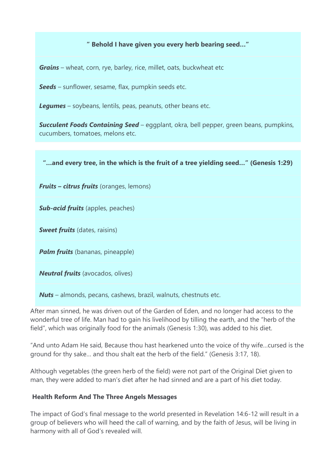#### **" Behold I have given you every herb bearing seed…"**

*Grains* – wheat, corn, rye, barley, rice, millet, oats, buckwheat etc

*Seeds* – sunflower, sesame, flax, pumpkin seeds etc.

*Legumes* – soybeans, lentils, peas, peanuts, other beans etc.

*Succulent Foods Containing Seed* – eggplant, okra, bell pepper, green beans, pumpkins, cucumbers, tomatoes, melons etc.

| "and every tree, in the which is the fruit of a tree yielding seed" (Genesis 1:29) |
|------------------------------------------------------------------------------------|
| <b>Fruits – citrus fruits</b> (oranges, lemons)                                    |
| <b>Sub-acid fruits</b> (apples, peaches)                                           |
| <b>Sweet fruits</b> (dates, raisins)                                               |
| <b>Palm fruits</b> (bananas, pineapple)                                            |
| <b>Neutral fruits</b> (avocados, olives)                                           |
|                                                                                    |

*Nuts* – almonds, pecans, cashews, brazil, walnuts, chestnuts etc.

After man sinned, he was driven out of the Garden of Eden, and no longer had access to the wonderful tree of life. Man had to gain his livelihood by tilling the earth, and the "herb of the field", which was originally food for the animals (Genesis 1:30), was added to his diet.

"And unto Adam He said, Because thou hast hearkened unto the voice of thy wife…cursed is the ground for thy sake… and thou shalt eat the herb of the field." (Genesis 3:17, 18).

Although vegetables (the green herb of the field) were not part of the Original Diet given to man, they were added to man's diet after he had sinned and are a part of his diet today.

#### **Health Reform And The Three Angels Messages**

The impact of God's final message to the world presented in Revelation 14:6-12 will result in a group of believers who will heed the call of warning, and by the faith of Jesus, will be living in harmony with all of God's revealed will.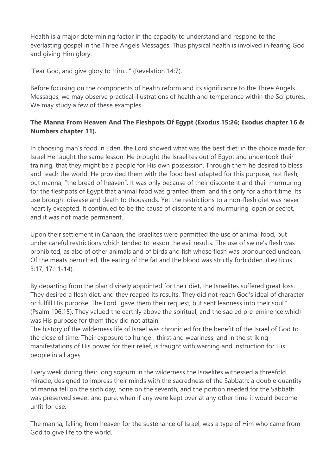Health is a major determining factor in the capacity to understand and respond to the everlasting gospel in the Three Angels Messages. Thus physical health is involved in fearing God and giving Him glory.

"Fear God, and give glory to Him…" (Revelation 14:7).

Before focusing on the components of health reform and its significance to the Three Angels Messages, we may observe practical illustrations of health and temperance within the Scriptures. We may study a few of these examples.

# **The Manna From Heaven And The Fleshpots Of Egypt (Exodus 15:26; Exodus chapter 16 & Numbers chapter 11).**

In choosing man's food in Eden, the Lord showed what was the best diet; in the choice made for Israel He taught the same lesson. He brought the Israelites out of Egypt and undertook their training, that they might be a people for His own possession. Through them he desired to bless and teach the world. He provided them with the food best adapted for this purpose, not flesh, but manna, "the bread of heaven". It was only because of their discontent and their murmuring for the fleshpots of Egypt that animal food was granted them, and this only for a short time. Its use brought disease and death to thousands. Yet the restrictions to a non-flesh diet was never heartily excepted. It continued to be the cause of discontent and murmuring, open or secret, and it was not made permanent.

Upon their settlement in Canaan, the Israelites were permitted the use of animal food, but under careful restrictions which tended to lesson the evil results. The use of swine's flesh was prohibited, as also of other animals and of birds and fish whose flesh was pronounced unclean. Of the meats permitted, the eating of the fat and the blood was strictly forbidden. (Leviticus 3:17; 17:11-14).

By departing from the plan divinely appointed for their diet, the Israelites suffered great loss. They desired a flesh diet, and they reaped its results. They did not reach God's ideal of character or fulfill His purpose. The Lord "gave them their request; but sent leanness into their soul." (Psalm 106:15). They valued the earthly above the spiritual, and the sacred pre-eminence which was His purpose for them they did not attain.

The history of the wilderness life of Israel was chronicled for the benefit of the Israel of God to the close of time. Their exposure to hunger, thirst and weariness, and in the striking manifestations of His power for their relief, is fraught with warning and instruction for His people in all ages.

Every week during their long sojourn in the wilderness the Israelites witnessed a threefold miracle, designed to impress their minds with the sacredness of the Sabbath: a double quantity of manna fell on the sixth day, none on the seventh, and the portion needed for the Sabbath was preserved sweet and pure, when if any were kept over at any other time it would become unfit for use.

The manna, falling from heaven for the sustenance of Israel, was a type of Him who came from God to give life to the world.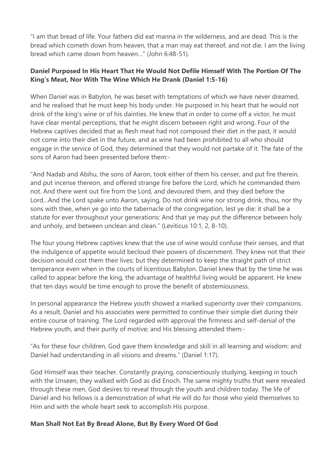"I am that bread of life. Your fathers did eat manna in the wilderness, and are dead. This is the bread which cometh down from heaven, that a man may eat thereof, and not die. I am the living bread which came down from heaven…" (John 6:48-51).

# **Daniel Purposed In His Heart That He Would Not Defile Himself With The Portion Of The King's Meat, Nor With The Wine Which He Drank (Daniel 1:5-16)**

When Daniel was in Babylon, he was beset with temptations of which we have never dreamed, and he realised that he must keep his body under. He purposed in his heart that he would not drink of the king's wine or of his dainties. He knew that in order to come off a victor, he must have clear mental perceptions, that he might discern between right and wrong. Four of the Hebrew captives decided that as flesh meat had not composed their diet in the past, it would not come into their diet in the future, and as wine had been prohibited to all who should engage in the service of God, they determined that they would not partake of it. The fate of the sons of Aaron had been presented before them:-

"And Nadab and Abihu, the sons of Aaron, took either of them his censer, and put fire therein, and put incense thereon, and offered strange fire before the Lord, which he commanded them not. And there went out fire from the Lord, and devoured them, and they died before the Lord…And the Lord spake unto Aaron, saying, Do not drink wine nor strong drink, thou, nor thy sons with thee, when ye go into the tabernacle of the congregation, lest ye die: it shall be a statute for ever throughout your generations: And that ye may put the difference between holy and unholy, and between unclean and clean." (Leviticus 10:1, 2, 8-10).

The four young Hebrew captives knew that the use of wine would confuse their senses, and that the indulgence of appetite would becloud their powers of discernment. They knew not that their decision would cost them their lives; but they determined to keep the straight path of strict temperance even when in the courts of licentious Babylon. Daniel knew that by the time he was called to appear before the king, the advantage of healthful living would be apparent. He knew that ten days would be time enough to prove the benefit of abstemiousness.

In personal appearance the Hebrew youth showed a marked superiority over their companions. As a result, Daniel and his associates were permitted to continue their simple diet during their entire course of training. The Lord regarded with approval the firmness and self-denial of the Hebrew youth, and their purity of motive; and His blessing attended them:-

"As for these four children, God gave them knowledge and skill in all learning and wisdom: and Daniel had understanding in all visions and dreams." (Daniel 1:17).

God Himself was their teacher. Constantly praying, conscientiously studying, keeping in touch with the Unseen, they walked with God as did Enoch. The same mighty truths that were revealed through these men, God desires to reveal through the youth and children today. The life of Daniel and his fellows is a demonstration of what He will do for those who yield themselves to Him and with the whole heart seek to accomplish His purpose.

## **Man Shall Not Eat By Bread Alone, But By Every Word Of God**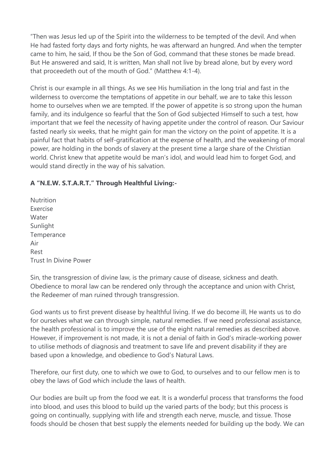"Then was Jesus led up of the Spirit into the wilderness to be tempted of the devil. And when He had fasted forty days and forty nights, he was afterward an hungred. And when the tempter came to him, he said, If thou be the Son of God, command that these stones be made bread. But He answered and said, It is written, Man shall not live by bread alone, but by every word that proceedeth out of the mouth of God." (Matthew 4:1-4).

Christ is our example in all things. As we see His humiliation in the long trial and fast in the wilderness to overcome the temptations of appetite in our behalf, we are to take this lesson home to ourselves when we are tempted. If the power of appetite is so strong upon the human family, and its indulgence so fearful that the Son of God subjected Himself to such a test, how important that we feel the necessity of having appetite under the control of reason. Our Saviour fasted nearly six weeks, that he might gain for man the victory on the point of appetite. It is a painful fact that habits of self-gratification at the expense of health, and the weakening of moral power, are holding in the bonds of slavery at the present time a large share of the Christian world. Christ knew that appetite would be man's idol, and would lead him to forget God, and would stand directly in the way of his salvation.

# **A "N.E.W. S.T.A.R.T." Through Healthful Living:-**

**Nutrition** Exercise **Water Sunlight** Temperance Air Rest Trust In Divine Power

Sin, the transgression of divine law, is the primary cause of disease, sickness and death. Obedience to moral law can be rendered only through the acceptance and union with Christ, the Redeemer of man ruined through transgression.

God wants us to first prevent disease by healthful living. If we do become ill, He wants us to do for ourselves what we can through simple, natural remedies. If we need professional assistance, the health professional is to improve the use of the eight natural remedies as described above. However, if improvement is not made, it is not a denial of faith in God's miracle-working power to utilise methods of diagnosis and treatment to save life and prevent disability if they are based upon a knowledge, and obedience to God's Natural Laws.

Therefore, our first duty, one to which we owe to God, to ourselves and to our fellow men is to obey the laws of God which include the laws of health.

Our bodies are built up from the food we eat. It is a wonderful process that transforms the food into blood, and uses this blood to build up the varied parts of the body; but this process is going on continually, supplying with life and strength each nerve, muscle, and tissue. Those foods should be chosen that best supply the elements needed for building up the body. We can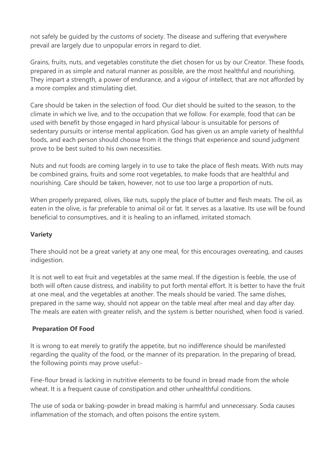not safely be guided by the customs of society. The disease and suffering that everywhere prevail are largely due to unpopular errors in regard to diet.

Grains, fruits, nuts, and vegetables constitute the diet chosen for us by our Creator. These foods, prepared in as simple and natural manner as possible, are the most healthful and nourishing. They impart a strength, a power of endurance, and a vigour of intellect, that are not afforded by a more complex and stimulating diet.

Care should be taken in the selection of food. Our diet should be suited to the season, to the climate in which we live, and to the occupation that we follow. For example, food that can be used with benefit by those engaged in hard physical labour is unsuitable for persons of sedentary pursuits or intense mental application. God has given us an ample variety of healthful foods, and each person should choose from it the things that experience and sound judgment prove to be best suited to his own necessities.

Nuts and nut foods are coming largely in to use to take the place of flesh meats. With nuts may be combined grains, fruits and some root vegetables, to make foods that are healthful and nourishing. Care should be taken, however, not to use too large a proportion of nuts.

When properly prepared, olives, like nuts, supply the place of butter and flesh meats. The oil, as eaten in the olive, is far preferable to animal oil or fat. It serves as a laxative. Its use will be found beneficial to consumptives, and it is healing to an inflamed, irritated stomach.

#### **Variety**

There should not be a great variety at any one meal, for this encourages overeating, and causes indigestion.

It is not well to eat fruit and vegetables at the same meal. If the digestion is feeble, the use of both will often cause distress, and inability to put forth mental effort. It is better to have the fruit at one meal, and the vegetables at another. The meals should be varied. The same dishes, prepared in the same way, should not appear on the table meal after meal and day after day. The meals are eaten with greater relish, and the system is better nourished, when food is varied.

## **Preparation Of Food**

It is wrong to eat merely to gratify the appetite, but no indifference should be manifested regarding the quality of the food, or the manner of its preparation. In the preparing of bread, the following points may prove useful:-

Fine-flour bread is lacking in nutritive elements to be found in bread made from the whole wheat. It is a frequent cause of constipation and other unhealthful conditions.

The use of soda or baking-powder in bread making is harmful and unnecessary. Soda causes inflammation of the stomach, and often poisons the entire system.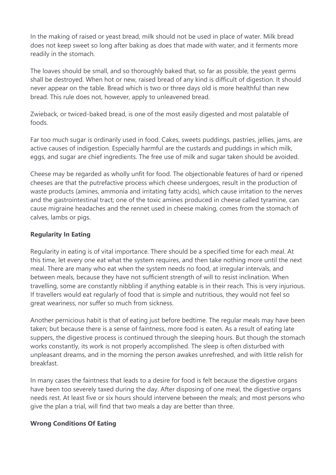In the making of raised or yeast bread, milk should not be used in place of water. Milk bread does not keep sweet so long after baking as does that made with water, and it ferments more readily in the stomach.

The loaves should be small, and so thoroughly baked that, so far as possible, the yeast germs shall be destroyed. When hot or new, raised bread of any kind is difficult of digestion. It should never appear on the table. Bread which is two or three days old is more healthful than new bread. This rule does not, however, apply to unleavened bread.

Zwieback, or twiced-baked bread, is one of the most easily digested and most palatable of foods.

Far too much sugar is ordinarily used in food. Cakes, sweets puddings, pastries, jellies, jams, are active causes of indigestion. Especially harmful are the custards and puddings in which milk, eggs, and sugar are chief ingredients. The free use of milk and sugar taken should be avoided.

Cheese may be regarded as wholly unfit for food. The objectionable features of hard or ripened cheeses are that the putrefactive process which cheese undergoes, result in the production of waste products (amines, ammonia and irritating fatty acids), which cause irritation to the nerves and the gastrointestinal tract; one of the toxic amines produced in cheese called tyramine, can cause migraine headaches and the rennet used in cheese making, comes from the stomach of calves, lambs or pigs.

## **Regularity In Eating**

Regularity in eating is of vital importance. There should be a specified time for each meal. At this time, let every one eat what the system requires, and then take nothing more until the next meal. There are many who eat when the system needs no food, at irregular intervals, and between meals, because they have not sufficient strength of will to resist inclination. When travelling, some are constantly nibbling if anything eatable is in their reach. This is very injurious. If travellers would eat regularly of food that is simple and nutritious, they would not feel so great weariness, nor suffer so much from sickness.

Another pernicious habit is that of eating just before bedtime. The regular meals may have been taken; but because there is a sense of faintness, more food is eaten. As a result of eating late suppers, the digestive process is continued through the sleeping hours. But though the stomach works constantly, its work is not properly accomplished. The sleep is often disturbed with unpleasant dreams, and in the morning the person awakes unrefreshed, and with little relish for breakfast.

In many cases the faintness that leads to a desire for food is felt because the digestive organs have been too severely taxed during the day. After disposing of one meal, the digestive organs needs rest. At least five or six hours should intervene between the meals; and most persons who give the plan a trial, will find that two meals a day are better than three.

## **Wrong Conditions Of Eating**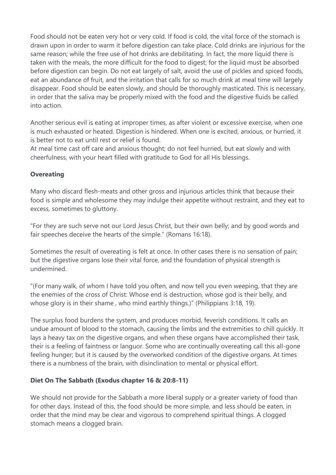Food should not be eaten very hot or very cold. If food is cold, the vital force of the stomach is drawn upon in order to warm it before digestion can take place. Cold drinks are injurious for the same reason; while the free use of hot drinks are debilitating. In fact, the more liquid there is taken with the meals, the more difficult for the food to digest; for the liquid must be absorbed before digestion can begin. Do not eat largely of salt, avoid the use of pickles and spiced foods, eat an abundance of fruit, and the irritation that calls for so much drink at meal time will largely disappear. Food should be eaten slowly, and should be thoroughly masticated. This is necessary, in order that the saliva may be properly mixed with the food and the digestive fluids be called into action.

Another serious evil is eating at improper times, as after violent or excessive exercise, when one is much exhausted or heated. Digestion is hindered. When one is excited, anxious, or hurried, it is better not to eat until rest or relief is found.

At meal time cast off care and anxious thought; do not feel hurried, but eat slowly and with cheerfulness, with your heart filled with gratitude to God for all His blessings.

## **Overeating**

Many who discard flesh-meats and other gross and injurious articles think that because their food is simple and wholesome they may indulge their appetite without restraint, and they eat to excess, sometimes to gluttony.

"For they are such serve not our Lord Jesus Christ, but their own belly; and by good words and fair speeches deceive the hearts of the simple." (Romans 16:18).

Sometimes the result of overeating is felt at once. In other cases there is no sensation of pain; but the digestive organs lose their vital force, and the foundation of physical strength is undermined.

"(For many walk, of whom I have told you often, and now tell you even weeping, that they are the enemies of the cross of Christ: Whose end is destruction, whose god is their belly, and whose glory is in their shame , who mind earthly things.)" (Philippians 3:18, 19).

The surplus food burdens the system, and produces morbid, feverish conditions. It calls an undue amount of blood to the stomach, causing the limbs and the extremities to chill quickly. It lays a heavy tax on the digestive organs, and when these organs have accomplished their task, their is a feeling of faintness or languor. Some who are continually overeating call this all-gone feeling hunger; but it is caused by the overworked condition of the digestive organs. At times there is a numbness of the brain, with disinclination to mental or physical effort.

## **Diet On The Sabbath (Exodus chapter 16 & 20:8-11)**

We should not provide for the Sabbath a more liberal supply or a greater variety of food than for other days. Instead of this, the food should be more simple, and less should be eaten, in order that the mind may be clear and vigorous to comprehend spiritual things. A clogged stomach means a clogged brain.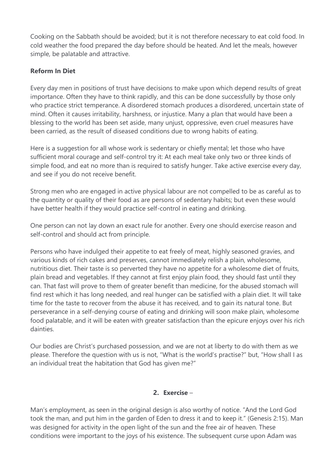Cooking on the Sabbath should be avoided; but it is not therefore necessary to eat cold food. In cold weather the food prepared the day before should be heated. And let the meals, however simple, be palatable and attractive.

## **Reform In Diet**

Every day men in positions of trust have decisions to make upon which depend results of great importance. Often they have to think rapidly, and this can be done successfully by those only who practice strict temperance. A disordered stomach produces a disordered, uncertain state of mind. Often it causes irritability, harshness, or injustice. Many a plan that would have been a blessing to the world has been set aside, many unjust, oppressive, even cruel measures have been carried, as the result of diseased conditions due to wrong habits of eating.

Here is a suggestion for all whose work is sedentary or chiefly mental; let those who have sufficient moral courage and self-control try it: At each meal take only two or three kinds of simple food, and eat no more than is required to satisfy hunger. Take active exercise every day, and see if you do not receive benefit.

Strong men who are engaged in active physical labour are not compelled to be as careful as to the quantity or quality of their food as are persons of sedentary habits; but even these would have better health if they would practice self-control in eating and drinking.

One person can not lay down an exact rule for another. Every one should exercise reason and self-control and should act from principle.

Persons who have indulged their appetite to eat freely of meat, highly seasoned gravies, and various kinds of rich cakes and preserves, cannot immediately relish a plain, wholesome, nutritious diet. Their taste is so perverted they have no appetite for a wholesome diet of fruits, plain bread and vegetables. If they cannot at first enjoy plain food, they should fast until they can. That fast will prove to them of greater benefit than medicine, for the abused stomach will find rest which it has long needed, and real hunger can be satisfied with a plain diet. It will take time for the taste to recover from the abuse it has received, and to gain its natural tone. But perseverance in a self-denying course of eating and drinking will soon make plain, wholesome food palatable, and it will be eaten with greater satisfaction than the epicure enjoys over his rich dainties.

Our bodies are Christ's purchased possession, and we are not at liberty to do with them as we please. Therefore the question with us is not, "What is the world's practise?" but, "How shall I as an individual treat the habitation that God has given me?"

## **2. Exercise** –

Man's employment, as seen in the original design is also worthy of notice. "And the Lord God took the man, and put him in the garden of Eden to dress it and to keep it." (Genesis 2:15). Man was designed for activity in the open light of the sun and the free air of heaven. These conditions were important to the joys of his existence. The subsequent curse upon Adam was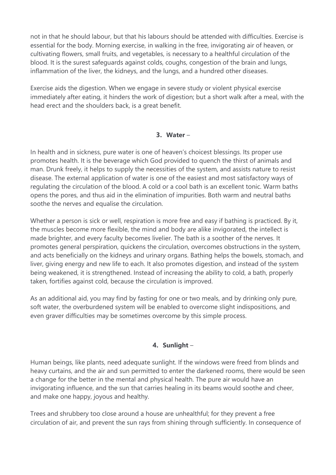not in that he should labour, but that his labours should be attended with difficulties. Exercise is essential for the body. Morning exercise, in walking in the free, invigorating air of heaven, or cultivating flowers, small fruits, and vegetables, is necessary to a healthful circulation of the blood. It is the surest safeguards against colds, coughs, congestion of the brain and lungs, inflammation of the liver, the kidneys, and the lungs, and a hundred other diseases.

Exercise aids the digestion. When we engage in severe study or violent physical exercise immediately after eating, it hinders the work of digestion; but a short walk after a meal, with the head erect and the shoulders back, is a great benefit.

## **3. Water** –

In health and in sickness, pure water is one of heaven's choicest blessings. Its proper use promotes health. It is the beverage which God provided to quench the thirst of animals and man. Drunk freely, it helps to supply the necessities of the system, and assists nature to resist disease. The external application of water is one of the easiest and most satisfactory ways of regulating the circulation of the blood. A cold or a cool bath is an excellent tonic. Warm baths opens the pores, and thus aid in the elimination of impurities. Both warm and neutral baths soothe the nerves and equalise the circulation.

Whether a person is sick or well, respiration is more free and easy if bathing is practiced. By it, the muscles become more flexible, the mind and body are alike invigorated, the intellect is made brighter, and every faculty becomes livelier. The bath is a soother of the nerves. It promotes general perspiration, quickens the circulation, overcomes obstructions in the system, and acts beneficially on the kidneys and urinary organs. Bathing helps the bowels, stomach, and liver, giving energy and new life to each. It also promotes digestion, and instead of the system being weakened, it is strengthened. Instead of increasing the ability to cold, a bath, properly taken, fortifies against cold, because the circulation is improved.

As an additional aid, you may find by fasting for one or two meals, and by drinking only pure, soft water, the overburdened system will be enabled to overcome slight indispositions, and even graver difficulties may be sometimes overcome by this simple process.

## **4. Sunlight** –

Human beings, like plants, need adequate sunlight. If the windows were freed from blinds and heavy curtains, and the air and sun permitted to enter the darkened rooms, there would be seen a change for the better in the mental and physical health. The pure air would have an invigorating influence, and the sun that carries healing in its beams would soothe and cheer, and make one happy, joyous and healthy.

Trees and shrubbery too close around a house are unhealthful; for they prevent a free circulation of air, and prevent the sun rays from shining through sufficiently. In consequence of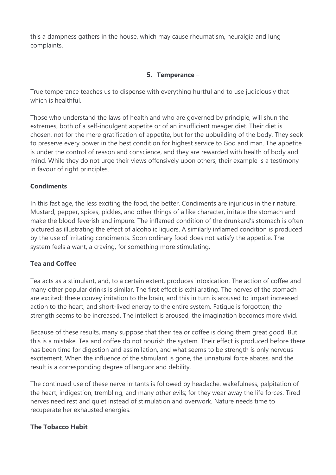this a dampness gathers in the house, which may cause rheumatism, neuralgia and lung complaints.

## **5. Temperance** –

True temperance teaches us to dispense with everything hurtful and to use judiciously that which is healthful.

Those who understand the laws of health and who are governed by principle, will shun the extremes, both of a self-indulgent appetite or of an insufficient meager diet. Their diet is chosen, not for the mere gratification of appetite, but for the upbuilding of the body. They seek to preserve every power in the best condition for highest service to God and man. The appetite is under the control of reason and conscience, and they are rewarded with health of body and mind. While they do not urge their views offensively upon others, their example is a testimony in favour of right principles.

## **Condiments**

In this fast age, the less exciting the food, the better. Condiments are injurious in their nature. Mustard, pepper, spices, pickles, and other things of a like character, irritate the stomach and make the blood feverish and impure. The inflamed condition of the drunkard's stomach is often pictured as illustrating the effect of alcoholic liquors. A similarly inflamed condition is produced by the use of irritating condiments. Soon ordinary food does not satisfy the appetite. The system feels a want, a craving, for something more stimulating.

## **Tea and Coffee**

Tea acts as a stimulant, and, to a certain extent, produces intoxication. The action of coffee and many other popular drinks is similar. The first effect is exhilarating. The nerves of the stomach are excited; these convey irritation to the brain, and this in turn is aroused to impart increased action to the heart, and short-lived energy to the entire system. Fatigue is forgotten; the strength seems to be increased. The intellect is aroused, the imagination becomes more vivid.

Because of these results, many suppose that their tea or coffee is doing them great good. But this is a mistake. Tea and coffee do not nourish the system. Their effect is produced before there has been time for digestion and assimilation, and what seems to be strength is only nervous excitement. When the influence of the stimulant is gone, the unnatural force abates, and the result is a corresponding degree of languor and debility.

The continued use of these nerve irritants is followed by headache, wakefulness, palpitation of the heart, indigestion, trembling, and many other evils; for they wear away the life forces. Tired nerves need rest and quiet instead of stimulation and overwork. Nature needs time to recuperate her exhausted energies.

## **The Tobacco Habit**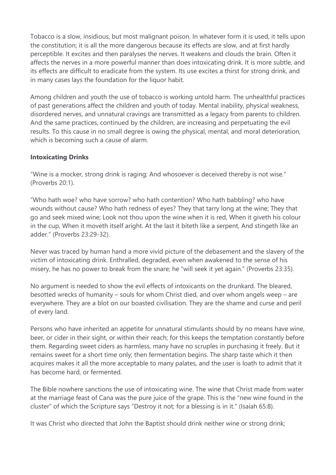Tobacco is a slow, insidious, but most malignant poison. In whatever form it is used, it tells upon the constitution; it is all the more dangerous because its effects are slow, and at first hardly perceptible. It excites and then paralyses the nerves. It weakens and clouds the brain. Often it affects the nerves in a more powerful manner than does intoxicating drink. It is more subtle, and its effects are difficult to eradicate from the system. Its use excites a thirst for strong drink, and in many cases lays the foundation for the liquor habit.

Among children and youth the use of tobacco is working untold harm. The unhealthful practices of past generations affect the children and youth of today. Mental inability, physical weakness, disordered nerves, and unnatural cravings are transmitted as a legacy from parents to children. And the same practices, continued by the children, are increasing and perpetuating the evil results. To this cause in no small degree is owing the physical, mental, and moral deterioration, which is becoming such a cause of alarm.

## **Intoxicating Drinks**

"Wine is a mocker, strong drink is raging; And whosoever is deceived thereby is not wise." (Proverbs 20:1).

"Who hath woe? who have sorrow? who hath contention? Who hath babbling? who have wounds without cause? Who hath redness of eyes? They that tarry long at the wine; They that go and seek mixed wine; Look not thou upon the wine when it is red, When it giveth his colour in the cup, When it moveth itself aright. At the last it biteth like a serpent, And stingeth like an adder." (Proverbs 23:29-32).

Never was traced by human hand a more vivid picture of the debasement and the slavery of the victim of intoxicating drink. Enthralled, degraded, even when awakened to the sense of his misery, he has no power to break from the snare; he "will seek it yet again." (Proverbs 23:35).

No argument is needed to show the evil effects of intoxicants on the drunkard. The bleared, besotted wrecks of humanity – souls for whom Christ died, and over whom angels weep – are everywhere. They are a blot on our boasted civilisation. They are the shame and curse and peril of every land.

Persons who have inherited an appetite for unnatural stimulants should by no means have wine, beer, or cider in their sight, or within their reach; for this keeps the temptation constantly before them. Regarding sweet ciders as harmless, many have no scruples in purchasing it freely. But it remains sweet for a short time only; then fermentation begins. The sharp taste which it then acquires makes it all the more acceptable to many palates, and the user is loath to admit that it has become hard, or fermented.

The Bible nowhere sanctions the use of intoxicating wine. The wine that Christ made from water at the marriage feast of Cana was the pure juice of the grape. This is the "new wine found in the cluster" of which the Scripture says "Destroy it not; for a blessing is in it." (Isaiah 65:8).

It was Christ who directed that John the Baptist should drink neither wine or strong drink;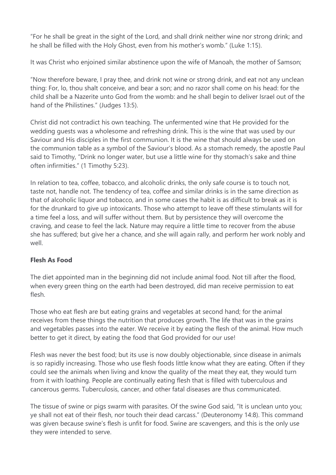"For he shall be great in the sight of the Lord, and shall drink neither wine nor strong drink; and he shall be filled with the Holy Ghost, even from his mother's womb." (Luke 1:15).

It was Christ who enjoined similar abstinence upon the wife of Manoah, the mother of Samson;

"Now therefore beware, I pray thee, and drink not wine or strong drink, and eat not any unclean thing: For, lo, thou shalt conceive, and bear a son; and no razor shall come on his head: for the child shall be a Nazerite unto God from the womb: and he shall begin to deliver Israel out of the hand of the Philistines." (Judges 13:5).

Christ did not contradict his own teaching. The unfermented wine that He provided for the wedding guests was a wholesome and refreshing drink. This is the wine that was used by our Saviour and His disciples in the first communion. It is the wine that should always be used on the communion table as a symbol of the Saviour's blood. As a stomach remedy, the apostle Paul said to Timothy, "Drink no longer water, but use a little wine for thy stomach's sake and thine often infirmities." (1 Timothy 5:23).

In relation to tea, coffee, tobacco, and alcoholic drinks, the only safe course is to touch not, taste not, handle not. The tendency of tea, coffee and similar drinks is in the same direction as that of alcoholic liquor and tobacco, and in some cases the habit is as difficult to break as it is for the drunkard to give up intoxicants. Those who attempt to leave off these stimulants will for a time feel a loss, and will suffer without them. But by persistence they will overcome the craving, and cease to feel the lack. Nature may require a little time to recover from the abuse she has suffered; but give her a chance, and she will again rally, and perform her work nobly and well.

## **Flesh As Food**

The diet appointed man in the beginning did not include animal food. Not till after the flood, when every green thing on the earth had been destroyed, did man receive permission to eat flesh.

Those who eat flesh are but eating grains and vegetables at second hand; for the animal receives from these things the nutrition that produces growth. The life that was in the grains and vegetables passes into the eater. We receive it by eating the flesh of the animal. How much better to get it direct, by eating the food that God provided for our use!

Flesh was never the best food; but its use is now doubly objectionable, since disease in animals is so rapidly increasing. Those who use flesh foods little know what they are eating. Often if they could see the animals when living and know the quality of the meat they eat, they would turn from it with loathing. People are continually eating flesh that is filled with tuberculous and cancerous germs. Tuberculosis, cancer, and other fatal diseases are thus communicated.

The tissue of swine or pigs swarm with parasites. Of the swine God said, "It is unclean unto you; ye shall not eat of their flesh, nor touch their dead carcass." (Deuteronomy 14:8). This command was given because swine's flesh is unfit for food. Swine are scavengers, and this is the only use they were intended to serve.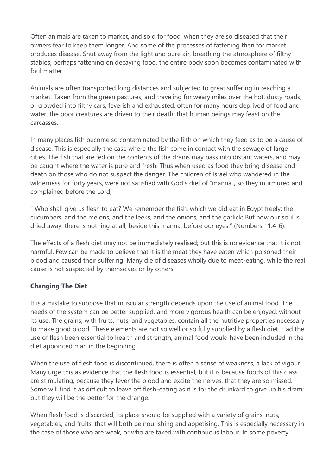Often animals are taken to market, and sold for food, when they are so diseased that their owners fear to keep them longer. And some of the processes of fattening then for market produces disease. Shut away from the light and pure air, breathing the atmosphere of filthy stables, perhaps fattening on decaying food, the entire body soon becomes contaminated with foul matter.

Animals are often transported long distances and subjected to great suffering in reaching a market. Taken from the green pastures, and traveling for weary miles over the hot, dusty roads, or crowded into filthy cars, feverish and exhausted, often for many hours deprived of food and water, the poor creatures are driven to their death, that human beings may feast on the carcasses.

In many places fish become so contaminated by the filth on which they feed as to be a cause of disease. This is especially the case where the fish come in contact with the sewage of large cities. The fish that are fed on the contents of the drains may pass into distant waters, and may be caught where the water is pure and fresh. Thus when used as food they bring disease and death on those who do not suspect the danger. The children of Israel who wandered in the wilderness for forty years, were not satisfied with God's diet of "manna", so they murmured and complained before the Lord;

" Who shall give us flesh to eat? We remember the fish, which we did eat in Egypt freely; the cucumbers, and the melons, and the leeks, and the onions, and the garlick: But now our soul is dried away: there is nothing at all, beside this manna, before our eyes." (Numbers 11:4-6).

The effects of a flesh diet may not be immediately realised; but this is no evidence that it is not harmful. Few can be made to believe that it is the meat they have eaten which poisoned their blood and caused their suffering. Many die of diseases wholly due to meat-eating, while the real cause is not suspected by themselves or by others.

## **Changing The Diet**

It is a mistake to suppose that muscular strength depends upon the use of animal food. The needs of the system can be better supplied, and more vigorous health can be enjoyed, without its use. The grains, with fruits, nuts, and vegetables, contain all the nutritive properties necessary to make good blood. These elements are not so well or so fully supplied by a flesh diet. Had the use of flesh been essential to health and strength, animal food would have been included in the diet appointed man in the beginning.

When the use of flesh food is discontinued, there is often a sense of weakness, a lack of vigour. Many urge this as evidence that the flesh food is essential; but it is because foods of this class are stimulating, because they fever the blood and excite the nerves, that they are so missed. Some will find it as difficult to leave off flesh-eating as it is for the drunkard to give up his dram; but they will be the better for the change.

When flesh food is discarded, its place should be supplied with a variety of grains, nuts, vegetables, and fruits, that will both be nourishing and appetising. This is especially necessary in the case of those who are weak, or who are taxed with continuous labour. In some poverty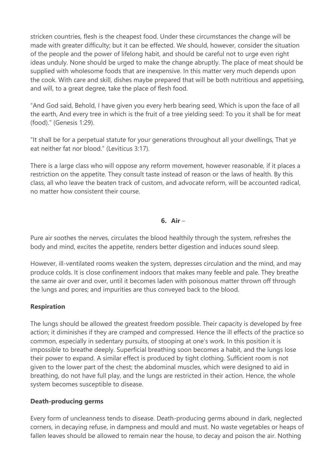stricken countries, flesh is the cheapest food. Under these circumstances the change will be made with greater difficulty; but it can be effected. We should, however, consider the situation of the people and the power of lifelong habit, and should be careful not to urge even right ideas unduly. None should be urged to make the change abruptly. The place of meat should be supplied with wholesome foods that are inexpensive. In this matter very much depends upon the cook. With care and skill, dishes maybe prepared that will be both nutritious and appetising, and will, to a great degree, take the place of flesh food.

"And God said, Behold, I have given you every herb bearing seed, Which is upon the face of all the earth, And every tree in which is the fruit of a tree yielding seed: To you it shall be for meat (food)." (Genesis 1:29).

"It shall be for a perpetual statute for your generations throughout all your dwellings, That ye eat neither fat nor blood." (Leviticus 3:17).

There is a large class who will oppose any reform movement, however reasonable, if it places a restriction on the appetite. They consult taste instead of reason or the laws of health. By this class, all who leave the beaten track of custom, and advocate reform, will be accounted radical, no matter how consistent their course.

**6. Air** –

Pure air soothes the nerves, circulates the blood healthily through the system, refreshes the body and mind, excites the appetite, renders better digestion and induces sound sleep.

However, ill-ventilated rooms weaken the system, depresses circulation and the mind, and may produce colds. It is close confinement indoors that makes many feeble and pale. They breathe the same air over and over, until it becomes laden with poisonous matter thrown off through the lungs and pores; and impurities are thus conveyed back to the blood.

## **Respiration**

The lungs should be allowed the greatest freedom possible. Their capacity is developed by free action; it diminishes if they are cramped and compressed. Hence the ill effects of the practice so common, especially in sedentary pursuits, of stooping at one's work. In this position it is impossible to breathe deeply. Superficial breathing soon becomes a habit, and the lungs lose their power to expand. A similar effect is produced by tight clothing. Sufficient room is not given to the lower part of the chest; the abdominal muscles, which were designed to aid in breathing, do not have full play, and the lungs are restricted in their action. Hence, the whole system becomes susceptible to disease.

#### **Death-producing germs**

Every form of uncleanness tends to disease. Death-producing germs abound in dark, neglected corners, in decaying refuse, in dampness and mould and must. No waste vegetables or heaps of fallen leaves should be allowed to remain near the house, to decay and poison the air. Nothing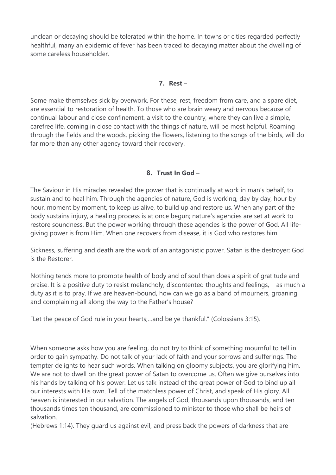unclean or decaying should be tolerated within the home. In towns or cities regarded perfectly healthful, many an epidemic of fever has been traced to decaying matter about the dwelling of some careless householder.

#### **7. Rest** –

Some make themselves sick by overwork. For these, rest, freedom from care, and a spare diet, are essential to restoration of health. To those who are brain weary and nervous because of continual labour and close confinement, a visit to the country, where they can live a simple, carefree life, coming in close contact with the things of nature, will be most helpful. Roaming through the fields and the woods, picking the flowers, listening to the songs of the birds, will do far more than any other agency toward their recovery.

## **8. Trust In God** –

The Saviour in His miracles revealed the power that is continually at work in man's behalf, to sustain and to heal him. Through the agencies of nature, God is working, day by day, hour by hour, moment by moment, to keep us alive, to build up and restore us. When any part of the body sustains injury, a healing process is at once begun; nature's agencies are set at work to restore soundness. But the power working through these agencies is the power of God. All lifegiving power is from Him. When one recovers from disease, it is God who restores him.

Sickness, suffering and death are the work of an antagonistic power. Satan is the destroyer; God is the Restorer.

Nothing tends more to promote health of body and of soul than does a spirit of gratitude and praise. It is a positive duty to resist melancholy, discontented thoughts and feelings, – as much a duty as it is to pray. If we are heaven-bound, how can we go as a band of mourners, groaning and complaining all along the way to the Father's house?

"Let the peace of God rule in your hearts;…and be ye thankful." (Colossians 3:15).

When someone asks how you are feeling, do not try to think of something mournful to tell in order to gain sympathy. Do not talk of your lack of faith and your sorrows and sufferings. The tempter delights to hear such words. When talking on gloomy subjects, you are glorifying him. We are not to dwell on the great power of Satan to overcome us. Often we give ourselves into his hands by talking of his power. Let us talk instead of the great power of God to bind up all our interests with His own. Tell of the matchless power of Christ, and speak of His glory. All heaven is interested in our salvation. The angels of God, thousands upon thousands, and ten thousands times ten thousand, are commissioned to minister to those who shall be heirs of salvation.

(Hebrews 1:14). They guard us against evil, and press back the powers of darkness that are